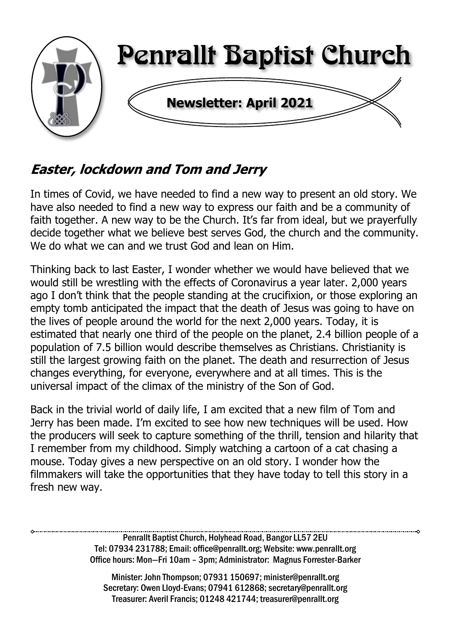

# **Easter, lockdown and Tom and Jerry**

In times of Covid, we have needed to find a new way to present an old story. We have also needed to find a new way to express our faith and be a community of faith together. A new way to be the Church. It's far from ideal, but we prayerfully decide together what we believe best serves God, the church and the community. We do what we can and we trust God and lean on Him.

Thinking back to last Easter, I wonder whether we would have believed that we would still be wrestling with the effects of Coronavirus a year later. 2,000 years ago I don't think that the people standing at the crucifixion, or those exploring an empty tomb anticipated the impact that the death of Jesus was going to have on the lives of people around the world for the next 2,000 years. Today, it is estimated that nearly one third of the people on the planet, 2.4 billion people of a population of 7.5 billion would describe themselves as Christians. Christianity is still the largest growing faith on the planet. The death and resurrection of Jesus changes everything, for everyone, everywhere and at all times. This is the universal impact of the climax of the ministry of the Son of God.

Back in the trivial world of daily life, I am excited that a new film of Tom and Jerry has been made. I'm excited to see how new techniques will be used. How the producers will seek to capture something of the thrill, tension and hilarity that I remember from my childhood. Simply watching a cartoon of a cat chasing a mouse. Today gives a new perspective on an old story. I wonder how the filmmakers will take the opportunities that they have today to tell this story in a fresh new way.

> Penrallt Baptist Church, Holyhead Road, Bangor LL57 2EU Tel: 07934 231788; Email: office@penrallt.org; Website: www.penrallt.org Office hours: Mon—Fri 10am – 3pm; Administrator: Magnus Forrester-Barker

Minister: John Thompson; 07931 150697; minister@penrallt.org Secretary: Owen Lloyd-Evans; 07941 612868; secretary@penrallt.org Treasurer: Averil Francis; 01248 421744; treasurer@penrallt.org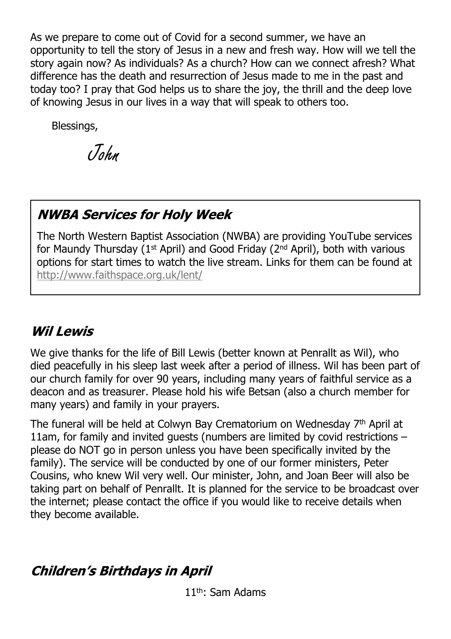As we prepare to come out of Covid for a second summer, we have an opportunity to tell the story of Jesus in a new and fresh way. How will we tell the story again now? As individuals? As a church? How can we connect afresh? What difference has the death and resurrection of Jesus made to me in the past and today too? I pray that God helps us to share the joy, the thrill and the deep love of knowing Jesus in our lives in a way that will speak to others too.

Blessings,

John

# **NWBA Services for Holy Week**

The North Western Baptist Association (NWBA) are providing YouTube services for Maundy Thursday (1<sup>st</sup> April) and Good Friday ( $2<sup>nd</sup>$  April), both with various options for start times to watch the live stream. Links for them can be found at <http://www.faithspace.org.uk/lent/>

# **Wil Lewis**

We give thanks for the life of Bill Lewis (better known at Penrallt as Wil), who died peacefully in his sleep last week after a period of illness. Wil has been part of our church family for over 90 years, including many years of faithful service as a deacon and as treasurer. Please hold his wife Betsan (also a church member for many years) and family in your prayers.

The funeral will be held at Colwyn Bay Crematorium on Wednesday  $7<sup>th</sup>$  April at 11am, for family and invited guests (numbers are limited by covid restrictions – please do NOT go in person unless you have been specifically invited by the family). The service will be conducted by one of our former ministers, Peter Cousins, who knew Wil very well. Our minister, John, and Joan Beer will also be taking part on behalf of Penrallt. It is planned for the service to be broadcast over the internet; please contact the office if you would like to receive details when they become available.

# **Children's Birthdays in April**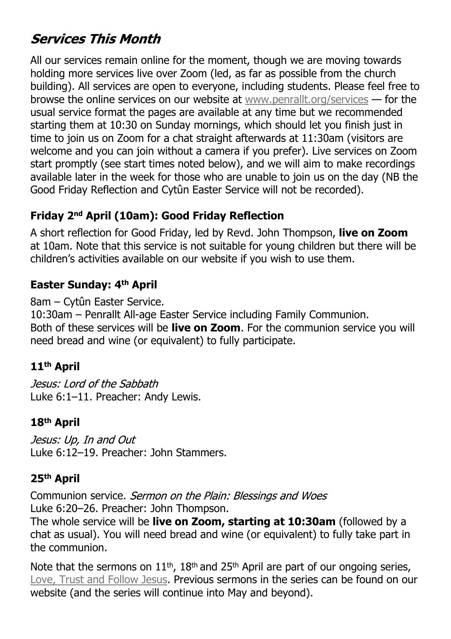# **Services This Month**

All our services remain online for the moment, though we are moving towards holding more services live over Zoom (led, as far as possible from the church building). All services are open to everyone, including students. Please feel free to browse the online services on our website at [www.penrallt.org/services](https://www.penrallt.org/services/index.php) — for the usual service format the pages are available at any time but we recommended starting them at 10:30 on Sunday mornings, which should let you finish just in time to join us on Zoom for a chat straight afterwards at 11:30am (visitors are welcome and you can join without a camera if you prefer). Live services on Zoom start promptly (see start times noted below), and we will aim to make recordings available later in the week for those who are unable to join us on the day (NB the Good Friday Reflection and Cytûn Easter Service will not be recorded).

#### **Friday 2nd April (10am): Good Friday Reflection**

A short reflection for Good Friday, led by Revd. John Thompson, **live on Zoom** at 10am. Note that this service is not suitable for young children but there will be children's activities available on our website if you wish to use them.

#### **Easter Sunday: 4th April**

8am – Cytûn Easter Service.

10:30am – Penrallt All-age Easter Service including Family Communion. Both of these services will be **live on Zoom**. For the communion service you will need bread and wine (or equivalent) to fully participate.

#### **11th April**

Jesus: Lord of the Sabbath Luke 6:1–11. Preacher: Andy Lewis.

#### **18th April**

Jesus: Up, In and Out Luke 6:12–19. Preacher: John Stammers.

#### **25th April**

Communion service. Sermon on the Plain: Blessings and Woes Luke 6:20–26. Preacher: John Thompson.

The whole service will be **live on Zoom, starting at 10:30am** (followed by a chat as usual). You will need bread and wine (or equivalent) to fully take part in the communion.

Note that the sermons on  $11<sup>th</sup>$ ,  $18<sup>th</sup>$  and  $25<sup>th</sup>$  April are part of our ongoing series, [Love, Trust and Follow Jesus.](https://www.penrallt.org/sermons/series.php?sid=BAC) Previous sermons in the series can be found on our website (and the series will continue into May and beyond).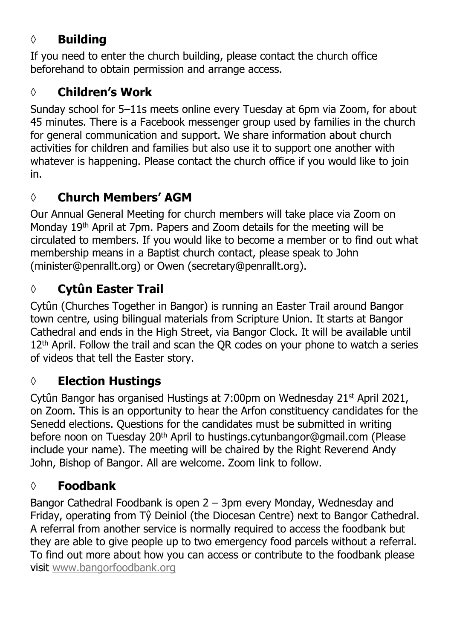## **◊ Building**

If you need to enter the church building, please contact the church office beforehand to obtain permission and arrange access.

# **◊ Children's Work**

Sunday school for 5–11s meets online every Tuesday at 6pm via Zoom, for about 45 minutes. There is a Facebook messenger group used by families in the church for general communication and support. We share information about church activities for children and families but also use it to support one another with whatever is happening. Please contact the church office if you would like to join in.

# **◊ Church Members' AGM**

Our Annual General Meeting for church members will take place via Zoom on Monday 19th April at 7pm. Papers and Zoom details for the meeting will be circulated to members. If you would like to become a member or to find out what membership means in a Baptist church contact, please speak to John (minister@penrallt.org) or Owen (secretary@penrallt.org).

# **◊ Cytûn Easter Trail**

Cytûn (Churches Together in Bangor) is running an Easter Trail around Bangor town centre, using bilingual materials from Scripture Union. It starts at Bangor Cathedral and ends in the High Street, via Bangor Clock. It will be available until 12<sup>th</sup> April. Follow the trail and scan the OR codes on your phone to watch a series of videos that tell the Easter story.

# **◊ Election Hustings**

Cytûn Bangor has organised Hustings at 7:00pm on Wednesday 21<sup>st</sup> April 2021, on Zoom. This is an opportunity to hear the Arfon constituency candidates for the Senedd elections. Questions for the candidates must be submitted in writing before noon on Tuesday 20<sup>th</sup> April to hustings.cytunbangor@gmail.com (Please include your name). The meeting will be chaired by the Right Reverend Andy John, Bishop of Bangor. All are welcome. Zoom link to follow.

# **◊ Foodbank**

Bangor Cathedral Foodbank is open 2 – 3pm every Monday, Wednesday and Friday, operating from Tŷ Deiniol (the Diocesan Centre) next to Bangor Cathedral. A referral from another service is normally required to access the foodbank but they are able to give people up to two emergency food parcels without a referral. To find out more about how you can access or contribute to the foodbank please visit [www.bangorfoodbank.org](https://www.bangorfoodbank.org)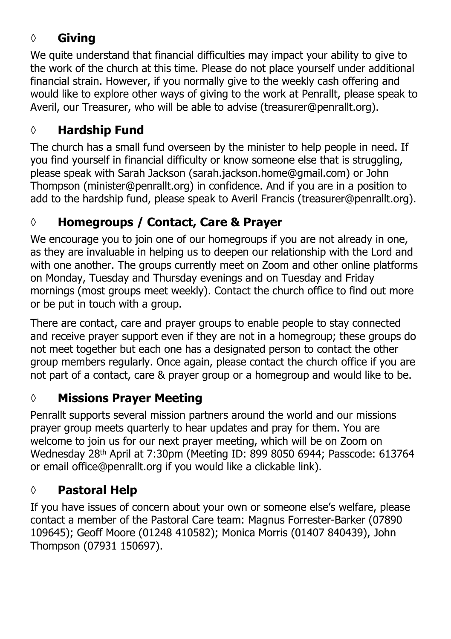## **◊ Giving**

We quite understand that financial difficulties may impact your ability to give to the work of the church at this time. Please do not place yourself under additional financial strain. However, if you normally give to the weekly cash offering and would like to explore other ways of giving to the work at Penrallt, please speak to Averil, our Treasurer, who will be able to advise (treasurer@penrallt.org).

### **◊ Hardship Fund**

The church has a small fund overseen by the minister to help people in need. If you find yourself in financial difficulty or know someone else that is struggling, please speak with Sarah Jackson (sarah.jackson.home@gmail.com) or John Thompson (minister@penrallt.org) in confidence. And if you are in a position to add to the hardship fund, please speak to Averil Francis (treasurer@penrallt.org).

# **◊ Homegroups / Contact, Care & Prayer**

We encourage you to join one of our homegroups if you are not already in one, as they are invaluable in helping us to deepen our relationship with the Lord and with one another. The groups currently meet on Zoom and other online platforms on Monday, Tuesday and Thursday evenings and on Tuesday and Friday mornings (most groups meet weekly). Contact the church office to find out more or be put in touch with a group.

There are contact, care and prayer groups to enable people to stay connected and receive prayer support even if they are not in a homegroup; these groups do not meet together but each one has a designated person to contact the other group members regularly. Once again, please contact the church office if you are not part of a contact, care & prayer group or a homegroup and would like to be.

## **◊ Missions Prayer Meeting**

Penrallt supports several mission partners around the world and our missions prayer group meets quarterly to hear updates and pray for them. You are welcome to join us for our next prayer meeting, which will be on Zoom on Wednesday 28th April at 7:30pm (Meeting ID: 899 8050 6944; Passcode: 613764 or email office@penrallt.org if you would like a clickable link).

## **◊ Pastoral Help**

If you have issues of concern about your own or someone else's welfare, please contact a member of the Pastoral Care team: Magnus Forrester-Barker (07890 109645); Geoff Moore (01248 410582); Monica Morris (01407 840439), John Thompson (07931 150697).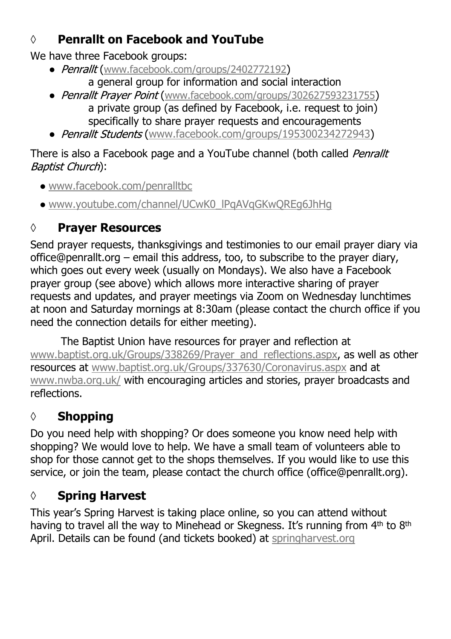## **◊ Penrallt on Facebook and YouTube**

We have three Facebook groups:

- Penrallt ([www.facebook.com/groups/2402772192](https://www.facebook.com/groups/2402772192)) a general group for information and social interaction
- Penrallt Prayer Point ([www.facebook.com/groups/302627593231755](https://www.facebook.com/groups/302627593231755)) a private group (as defined by Facebook, i.e. request to join) specifically to share prayer requests and encouragements
- Penrallt Students ([www.facebook.com/groups/195300234272943\)](https://www.facebook.com/groups/195300234272943)

#### There is also a Facebook page and a YouTube channel (both called Penrallt Baptist Church):

- [www.facebook.com/penralltbc](https://www.facebook.com/penralltbc)
- [www.youtube.com/channel/UCwK0\\_lPqAVqGKwQREg6JhHg](https://www.youtube.com/channel/UCwK0_lPqAVqGKwQREg6JhHg)

# **◊ Prayer Resources**

Send prayer requests, thanksgivings and testimonies to our email prayer diary via office@penrallt.org – email this address, too, to subscribe to the prayer diary, which goes out every week (usually on Mondays). We also have a Facebook prayer group (see above) which allows more interactive sharing of prayer requests and updates, and prayer meetings via Zoom on Wednesday lunchtimes at noon and Saturday mornings at 8:30am (please contact the church office if you need the connection details for either meeting).

The Baptist Union have resources for prayer and reflection at [www.baptist.org.uk/Groups/338269/Prayer\\_and\\_reflections.aspx](https://www.baptist.org.uk/Groups/338269/Prayer_and_reflections.aspx), as well as other resources at [www.baptist.org.uk/Groups/337630/Coronavirus.aspx](https://www.baptist.org.uk/Groups/337630/Coronavirus.aspx) and at [www.nwba.org.uk/](http://www.nwba.org.uk/) with encouraging articles and stories, prayer broadcasts and reflections.

# **◊ Shopping**

Do you need help with shopping? Or does someone you know need help with shopping? We would love to help. We have a small team of volunteers able to shop for those cannot get to the shops themselves. If you would like to use this service, or join the team, please contact the church office (office@penrallt.org).

# **◊ Spring Harvest**

This year's Spring Harvest is taking place online, so you can attend without having to travel all the way to Minehead or Skegness. It's running from 4<sup>th</sup> to 8<sup>th</sup> April. Details can be found (and tickets booked) at [springharvest.org](https://springharvest.org/)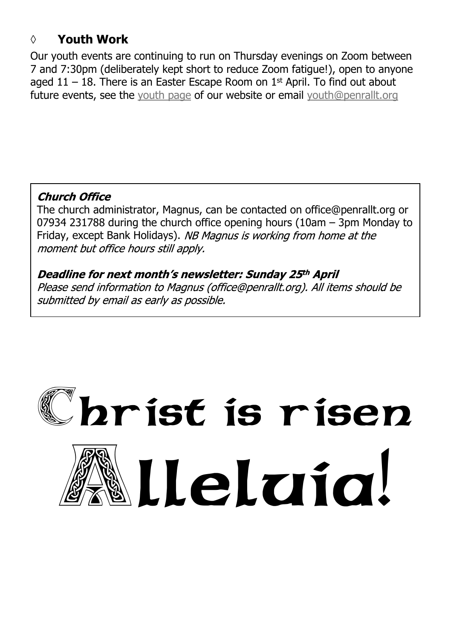### **◊ Youth Work**

Our youth events are continuing to run on Thursday evenings on Zoom between 7 and 7:30pm (deliberately kept short to reduce Zoom fatigue!), open to anyone aged 11 – 18. There is an Easter Escape Room on 1 st April. To find out about future events, see the [youth page](https://www.penrallt.org/youth/index.php) of our website or email [youth@penrallt.org](mailto:youth@penrallt.org)

#### **Church Office**

The church administrator, Magnus, can be contacted on office@penrallt.org or 07934 231788 during the church office opening hours (10am – 3pm Monday to Friday, except Bank Holidays). NB Magnus is working from home at the moment but office hours still apply.

Deadline for next month's newsletter: Sunday 25th April Please send information to Magnus (office@penrallt.org). All items should be submitted by email as early as possible.

# $\mathbb C$ hrist is risen Alleluia!